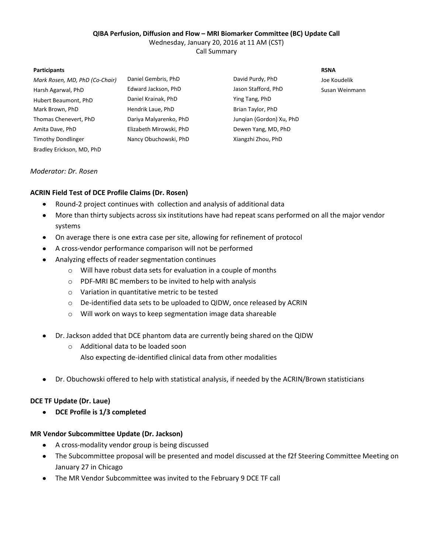### **QIBA Perfusion, Diffusion and Flow – MRI Biomarker Committee (BC) Update Call**

Wednesday, January 20, 2016 at 11 AM (CST)

Call Summary

#### **Participants RSNA**

*Mark Rosen, MD, PhD (Co-Chair)* Daniel Gembris, PhD David Purdy, PhD Harsh Agarwal, PhD Edward Jackson, PhD Jason Stafford, PhD Susan Weinmann Hubert Beaumont, PhD Daniel Krainak, PhD Ying Tang, PhD Mark Brown, PhD **Hendrik Laue, PhD** Brian Taylor, PhD Thomas Chenevert, PhD Dariya Malyarenko, PhD Junqian (Gordon) Xu, PhD Amita Dave, PhD **Elizabeth Mirowski, PhD** Dewen Yang, MD, PhD Timothy Dondlinger Nancy Obuchowski, PhD Xiangzhi Zhou, PhD Bradley Erickson, MD, PhD

Joe Koudelik

# *Moderator: Dr. Rosen*

# **ACRIN Field Test of DCE Profile Claims (Dr. Rosen)**

- $\bullet$ Round-2 project continues with collection and analysis of additional data
- More than thirty subjects across six institutions have had repeat scans performed on all the major vendor  $\bullet$ systems
- $\bullet$ On average there is one extra case per site, allowing for refinement of protocol
- A cross-vendor performance comparison will not be performed  $\bullet$
- Analyzing effects of reader segmentation continues  $\bullet$ 
	- o Will have robust data sets for evaluation in a couple of months
	- o PDF-MRI BC members to be invited to help with analysis
	- o Variation in quantitative metric to be tested
	- o De-identified data sets to be uploaded to QIDW, once released by ACRIN
	- o Will work on ways to keep segmentation image data shareable
- Dr. Jackson added that DCE phantom data are currently being shared on the QIDW  $\bullet$ 
	- o Additional data to be loaded soon
		- Also expecting de-identified clinical data from other modalities
- Dr. Obuchowski offered to help with statistical analysis, if needed by the ACRIN/Brown statisticians  $\bullet$

# **DCE TF Update (Dr. Laue)**

**DCE Profile is 1/3 completed**  $\bullet$ 

# **MR Vendor Subcommittee Update (Dr. Jackson)**

- $\bullet$ A cross-modality vendor group is being discussed
- $\bullet$ The Subcommittee proposal will be presented and model discussed at the f2f Steering Committee Meeting on January 27 in Chicago
- The MR Vendor Subcommittee was invited to the February 9 DCE TF call $\bullet$